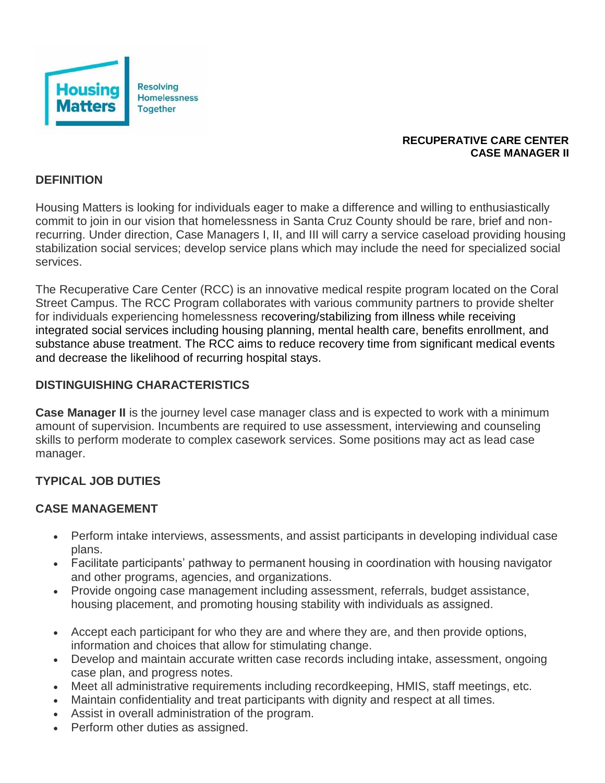

#### **RECUPERATIVE CARE CENTER CASE MANAGER II**

### **DEFINITION**

Housing Matters is looking for individuals eager to make a difference and willing to enthusiastically commit to join in our vision that homelessness in Santa Cruz County should be rare, brief and nonrecurring. Under direction, Case Managers I, II, and III will carry a service caseload providing housing stabilization social services; develop service plans which may include the need for specialized social services.

The Recuperative Care Center (RCC) is an innovative medical respite program located on the Coral Street Campus. The RCC Program collaborates with various community partners to provide shelter for individuals experiencing homelessness recovering/stabilizing from illness while receiving integrated social services including housing planning, mental health care, benefits enrollment, and substance abuse treatment. The RCC aims to reduce recovery time from significant medical events and decrease the likelihood of recurring hospital stays.

### **DISTINGUISHING CHARACTERISTICS**

**Case Manager II** is the journey level case manager class and is expected to work with a minimum amount of supervision. Incumbents are required to use assessment, interviewing and counseling skills to perform moderate to complex casework services. Some positions may act as lead case manager.

### **TYPICAL JOB DUTIES**

#### **CASE MANAGEMENT**

- Perform intake interviews, assessments, and assist participants in developing individual case plans.
- Facilitate participants' pathway to permanent housing in coordination with housing navigator and other programs, agencies, and organizations.
- Provide ongoing case management including assessment, referrals, budget assistance, housing placement, and promoting housing stability with individuals as assigned.
- Accept each participant for who they are and where they are, and then provide options, information and choices that allow for stimulating change.
- Develop and maintain accurate written case records including intake, assessment, ongoing case plan, and progress notes.
- Meet all administrative requirements including recordkeeping, HMIS, staff meetings, etc.
- Maintain confidentiality and treat participants with dignity and respect at all times.
- Assist in overall administration of the program.
- Perform other duties as assigned.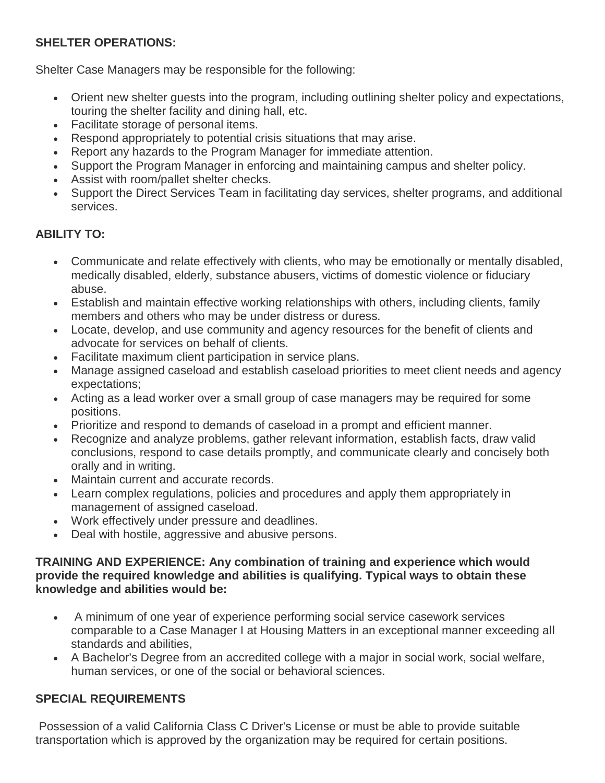## **SHELTER OPERATIONS:**

Shelter Case Managers may be responsible for the following:

- Orient new shelter guests into the program, including outlining shelter policy and expectations, touring the shelter facility and dining hall, etc.
- Facilitate storage of personal items.
- Respond appropriately to potential crisis situations that may arise.
- Report any hazards to the Program Manager for immediate attention.
- Support the Program Manager in enforcing and maintaining campus and shelter policy.
- Assist with room/pallet shelter checks.
- Support the Direct Services Team in facilitating day services, shelter programs, and additional services.

# **ABILITY TO:**

- Communicate and relate effectively with clients, who may be emotionally or mentally disabled, medically disabled, elderly, substance abusers, victims of domestic violence or fiduciary abuse.
- Establish and maintain effective working relationships with others, including clients, family members and others who may be under distress or duress.
- Locate, develop, and use community and agency resources for the benefit of clients and advocate for services on behalf of clients.
- Facilitate maximum client participation in service plans.
- Manage assigned caseload and establish caseload priorities to meet client needs and agency expectations;
- Acting as a lead worker over a small group of case managers may be required for some positions.
- Prioritize and respond to demands of caseload in a prompt and efficient manner.
- Recognize and analyze problems, gather relevant information, establish facts, draw valid conclusions, respond to case details promptly, and communicate clearly and concisely both orally and in writing.
- Maintain current and accurate records.
- Learn complex regulations, policies and procedures and apply them appropriately in management of assigned caseload.
- Work effectively under pressure and deadlines.
- Deal with hostile, aggressive and abusive persons.

### **TRAINING AND EXPERIENCE: Any combination of training and experience which would provide the required knowledge and abilities is qualifying. Typical ways to obtain these knowledge and abilities would be:**

- A minimum of one year of experience performing social service casework services comparable to a Case Manager I at Housing Matters in an exceptional manner exceeding all standards and abilities,
- A Bachelor's Degree from an accredited college with a major in social work, social welfare, human services, or one of the social or behavioral sciences.

# **SPECIAL REQUIREMENTS**

Possession of a valid California Class C Driver's License or must be able to provide suitable transportation which is approved by the organization may be required for certain positions.